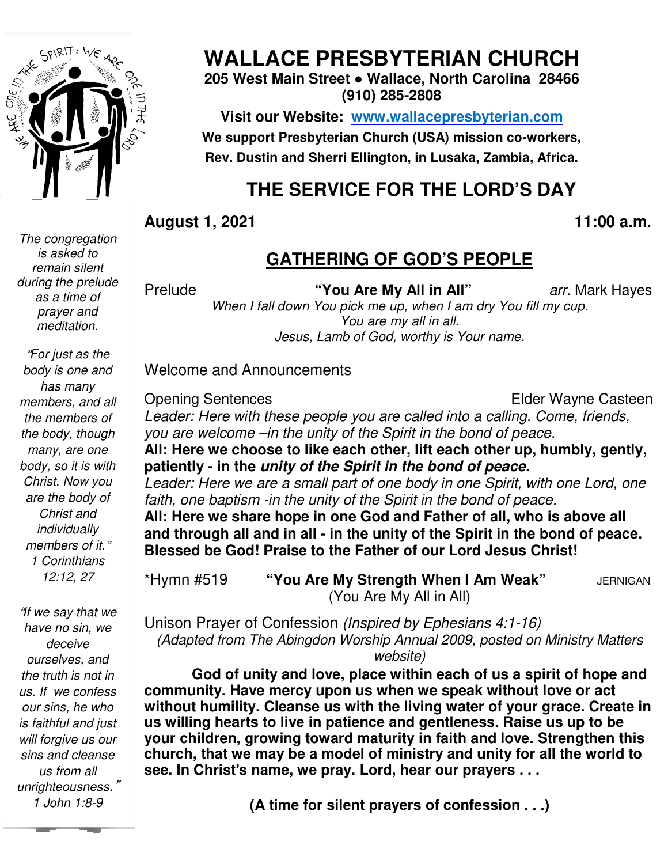

*The congregation is asked to remain silent during the prelude as a time of prayer and meditation.* 

"*For just as the body is one and has many members, and all the members of the body, though many, are one body, so it is with Christ. Now you are the body of Christ and individually members of it.*" *1 Corinthians 12:12, 27* 

 *sins and cleanse*  "*If we say that we have no sin, we deceive ourselves, and the truth is not in us. If we confess our sins, he who is faithful and just will forgive us our us from all unrighteousness.*" *1 John 1:8-9* 

# **WALLACE PRESBYTERIAN CHURCH**

**205 West Main Street ● Wallace, North Carolina 28466 (910) 285-2808** 

**Visit our Website: www.wallacepresbyterian.com** We support Presbyterian Church (USA) mission co-workers, **Rev. Dustin and Sherri Ellington, in Lusaka, Zambia, Africa. Sherri Ellington,** 

### **THE SERVICE FOR THE LORD'S DAY**

**August 1, 2021** 

**, 11:00 a.m .** 

#### **GATHERING OF GOD'S PEOPLE**

Prelude

When I fall down You pick me up, when I am dry You fill my cup. *Jesus, Lamb of God, worthy is Your name.* "You Are My All in All" *You are my all in all.*  arr. Mark Hayes

#### Welcome and Announcements and Announcements

Opening Sentences Leader: Here with these people you are called into a calling. Come, friends,<br>you are welcome –in the unity of the Spirit in the bond of peace. *you are welcome –in the unity of the Spirit in the bond of peace.* All: Here we choose to like each other, lift each other up, humbly, gently, patiently - in the *unity of the Spirit in the bond of peace.* Leader: Here we are a small part of one body in one Spirit, with one Lord, one<br>faith, one baptism -in the unity of the Spirit in the bond of peace. *faith, one baptism -in the unity of the Spirit in the bond of peace.* **All: Here we share hope in one God and Father of all, who is above** All: Here we share hope in one God and Father of all, who is above all<br>and through all and in all - in the unity of the Spirit in the bond of peace. **Blessed be God! Praise to the Father of our Lord Jesus Christ!<br>\*Hymn #519 "<b>You Are My Strength When I Am Weak**" JERNIGAN \*Hymn #519 **"You Are My Strength When I Am Weak** Elder Wayne Casteen (You Are My All in All) **other, lift each other up, humbly, gent**<br>*it in the bond of peace.*<br>*f one body in one Spirit, with one Lord, o*<br>le Spirit in the bond of peace.<br>**iod and Father of all, who is above all** 

Unison Prayer of Confession Unison Prayer of *(Inspired by Ephesians 4:1-16) (Adapted from The Abingdon Worship Annual 2009, posted on Ministry Matters (Adapted website) from* 

**God of unity and love, place within each of us a spirit of hope and community. Have mercy upon us when we speak without love or act without humility. Cleanse us with the living water of your grace. Create in us willing hearts to live in patience**  your children, growing toward maturity in faith and love. Strengthen this **church, that we may be a model of ministry and unity for all the world to see. In Christ**'**s name, we pray. Lord, hear our prayers . . .** God of unity and love, place within each of us a spirit of hope a<br>community. Have mercy upon us when we speak without love or act<br>without humility. Cleanse us with the living water of your grace. Create<br>us willing hearts t growing toward maturity in faith and love. St<br>e may be a model of ministry and unity for all<br>i name, we pray. Lord, hear our prayers . . .<br>(A time for silent prayers of confession . . .)

**(A time**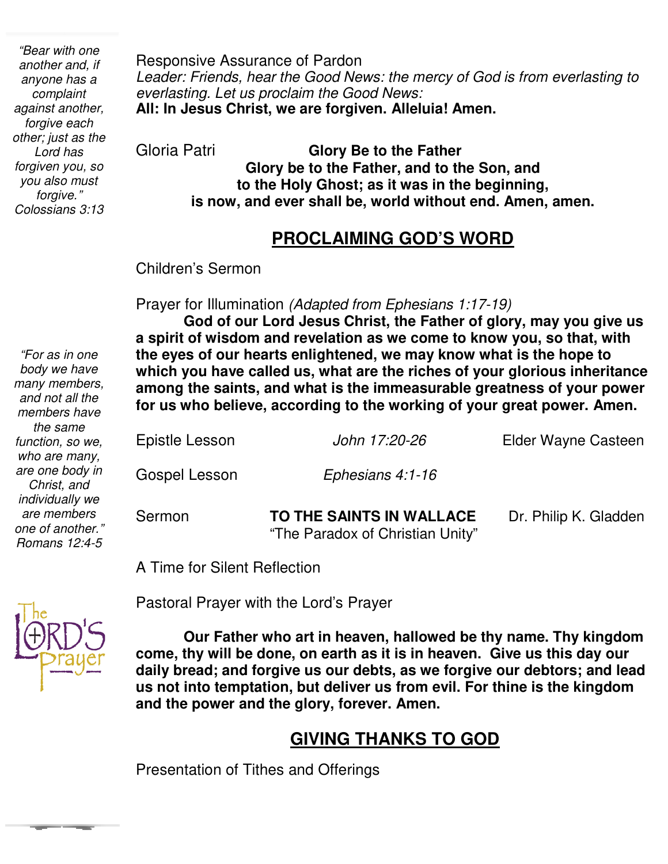*"Bear with one another and, if anyone has a complaint against another, forgive each other; just as the Lord has forgiven you, so you also must forgive." Colossians 3:13* 

*"For as in one body we have many members, and not all the members have the same function, so we, who are many, are one body in Christ, and individually we are members one of another." Romans 12:4-5* 

Responsive Assurance of Pardon *Leader: Friends, hear the Good News: the mercy of God is from everlasting to everlasting. Let us proclaim the Good News:* **All: In Jesus Christ, we are forgiven. Alleluia! Amen.**

Gloria Patri **Glory Be to the Father Glory be to the Father, and to the Son, and to the Holy Ghost; as it was in the beginning, is now, and ever shall be, world without end. Amen, amen.** 

#### **PROCLAIMING GOD'S WORD**

 Children's Sermon

Prayer for Illumination *(Adapted from Ephesians 1:17-19)*

 **the eyes of our hearts enlightened, we may know what is the hope to God of our Lord Jesus Christ, the Father of glory, may you give us a spirit of wisdom and revelation as we come to know you, so that, with which you have called us, what are the riches of your glorious inheritance among the saints, and what is the immeasurable greatness of your power for us who believe, according to the working of your great power. Amen.**

| Sermon                                 | Ephesians 4:1-16<br>TO THE SAINTS IN WALLACE<br>"The Paradox of Christian Unity" | Dr. Philip K. Gladden |
|----------------------------------------|----------------------------------------------------------------------------------|-----------------------|
| Epistle Lesson<br><b>Gospel Lesson</b> | John 17:20-26                                                                    | Elder Wayne Casteen   |

A Time for Silent Reflection

Pastoral Prayer with the Lord's Prayer

֖֖֖֖֖֖֖֖֖֚֓֓ **Our Father who art in heaven, hallowed be thy name. Thy kingdom come, thy will be done, on earth as it is in heaven. Give us this day our daily bread; and forgive us our debts, as we forgive our debtors; and lead us not into temptation, but deliver us from evil. For thine is the kingdom and the power and the glory, forever. Amen.** 

### **GIVING THANKS TO GOD**

Presentation of Tithes and Offerings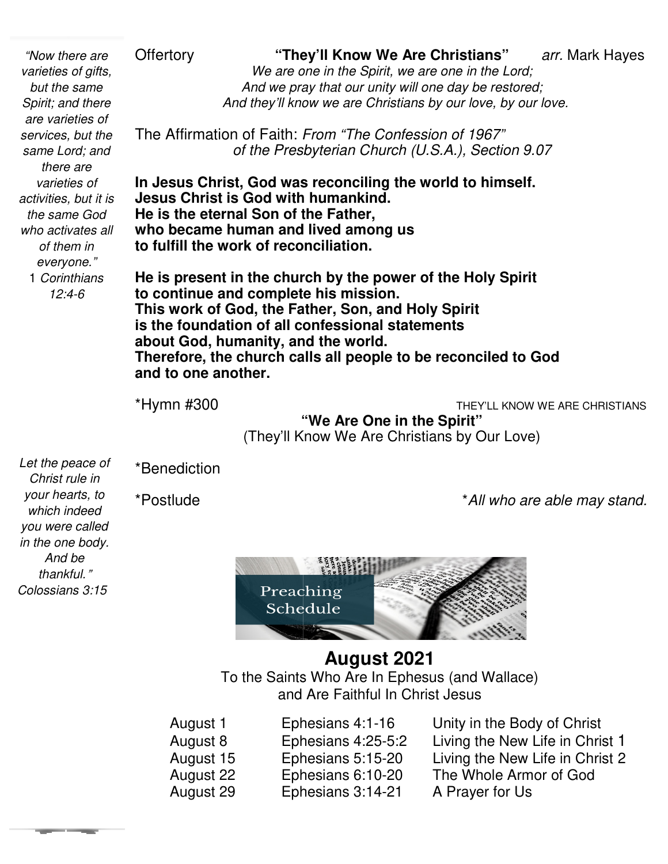| "Now there are<br>varieties of gifts,<br>but the same<br>Spirit; and there<br>are varieties of                                                          | <b>Offertory</b>                                                                                                                                                                                                                                                                                                                               | "They'll Know We Are Christians"<br>arr. Mark Hayes<br>We are one in the Spirit, we are one in the Lord;<br>And we pray that our unity will one day be restored;<br>And they'll know we are Christians by our love, by our love. |  |
|---------------------------------------------------------------------------------------------------------------------------------------------------------|------------------------------------------------------------------------------------------------------------------------------------------------------------------------------------------------------------------------------------------------------------------------------------------------------------------------------------------------|----------------------------------------------------------------------------------------------------------------------------------------------------------------------------------------------------------------------------------|--|
| services, but the<br>same Lord; and<br>there are                                                                                                        |                                                                                                                                                                                                                                                                                                                                                | The Affirmation of Faith: From "The Confession of 1967"<br>of the Presbyterian Church (U.S.A.), Section 9.07                                                                                                                     |  |
| varieties of<br>activities, but it is<br>the same God<br>who activates all<br>of them in<br>everyone."<br>1 Corinthians<br>$12:4-6$                     | In Jesus Christ, God was reconciling the world to himself.<br>Jesus Christ is God with humankind.<br>He is the eternal Son of the Father,<br>who became human and lived among us<br>to fulfill the work of reconciliation.                                                                                                                     |                                                                                                                                                                                                                                  |  |
|                                                                                                                                                         | He is present in the church by the power of the Holy Spirit<br>to continue and complete his mission.<br>This work of God, the Father, Son, and Holy Spirit<br>is the foundation of all confessional statements<br>about God, humanity, and the world.<br>Therefore, the church calls all people to be reconciled to God<br>and to one another. |                                                                                                                                                                                                                                  |  |
|                                                                                                                                                         | *Hymn #300                                                                                                                                                                                                                                                                                                                                     | THEY'LL KNOW WE ARE CHRISTIANS<br>"We Are One in the Spirit"<br>(They'll Know We Are Christians by Our Love)                                                                                                                     |  |
| Let the peace of<br>Christ rule in<br>your hearts, to<br>which indeed<br>you were called<br>in the one body.<br>And be<br>thankful."<br>Colossians 3:15 | *Benediction                                                                                                                                                                                                                                                                                                                                   |                                                                                                                                                                                                                                  |  |
|                                                                                                                                                         | *Postlude                                                                                                                                                                                                                                                                                                                                      | *All who are able may stand.                                                                                                                                                                                                     |  |
|                                                                                                                                                         |                                                                                                                                                                                                                                                                                                                                                | Preaching<br>Schedule                                                                                                                                                                                                            |  |

## **August 2021**

To the Saints Who Are In Ephesus (and Wallace) and Are Faithful In Christ Jesus

August 1 Ephesians 4:1-16<br>August 8 Ephesians 4:25-5: August 8 Ephesians 4:25-5:2<br>August 15 Ephesians 5:15-20  $E$ phesians 5:15-20 August 22 Ephesians 6:10-20 August 29 Ephesians 3:14-21

Unity in the Body of Christ 4:25-5:2 Living the New Life in Christ 1 5:15-20 Living the New Life in Christ 2The Whole Armor of God A Prayer for Us